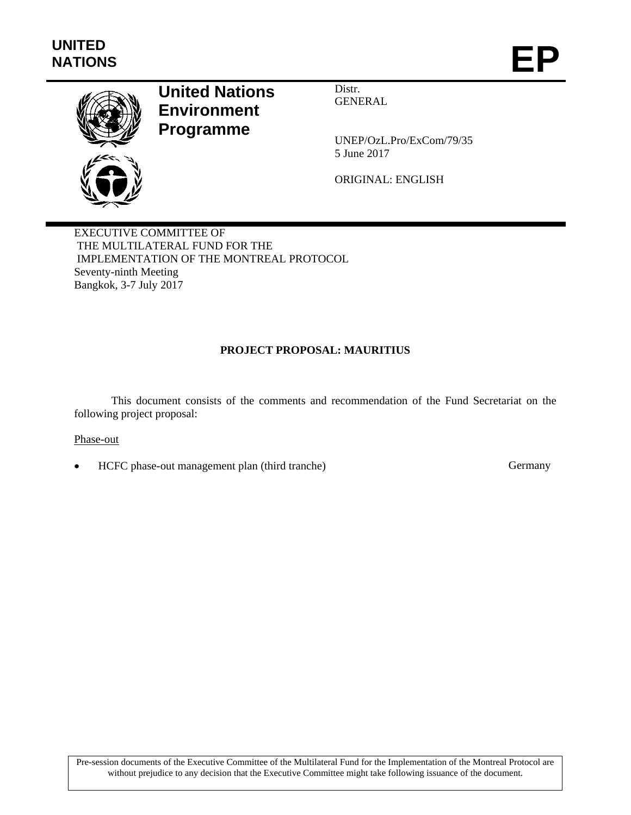

# **United Nations Environment Programme**

Distr. GENERAL

UNEP/OzL.Pro/ExCom/79/35 5 June 2017

ORIGINAL: ENGLISH

EXECUTIVE COMMITTEE OF THE MULTILATERAL FUND FOR THE IMPLEMENTATION OF THE MONTREAL PROTOCOL Seventy-ninth Meeting Bangkok, 3-7 July 2017

# **PROJECT PROPOSAL: MAURITIUS**

This document consists of the comments and recommendation of the Fund Secretariat on the following project proposal:

Phase-out

• HCFC phase-out management plan (third tranche) Germany

Pre-session documents of the Executive Committee of the Multilateral Fund for the Implementation of the Montreal Protocol are without prejudice to any decision that the Executive Committee might take following issuance of the document.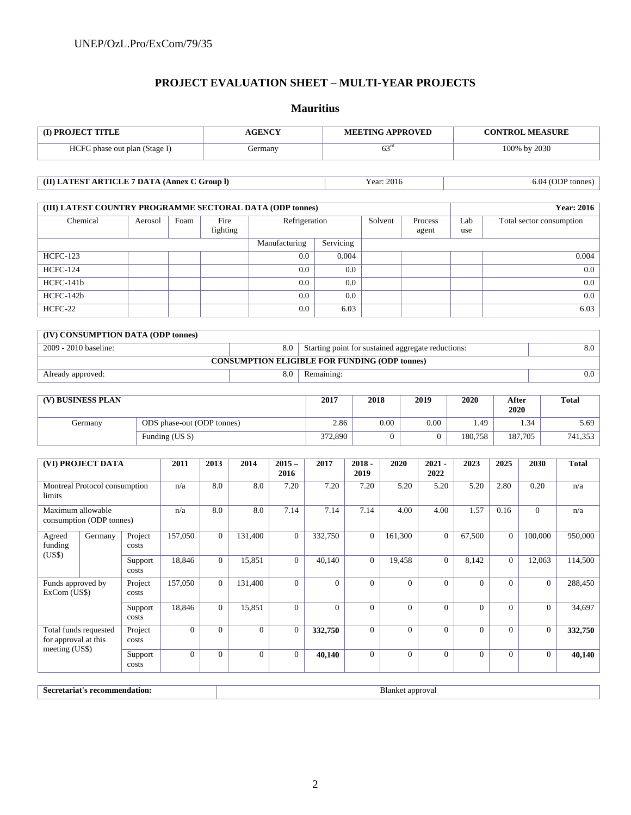## **PROJECT EVALUATION SHEET – MULTI-YEAR PROJECTS**

#### **Mauritius**

| <b>(I) PROJECT TITLE</b>      | <b>AGENCY</b> | <b>MEETING APPROVED</b> | CONTROL MEASURE |
|-------------------------------|---------------|-------------------------|-----------------|
| HCFC phase out plan (Stage I) | jermany       | 63 <sup>r</sup>         | 100% by 2030    |

**(II) LATEST ARTICLE 7 DATA (Annex C Group l)** Year: 2016 6.04 (ODP tonnes)

| (III) LATEST COUNTRY PROGRAMME SECTORAL DATA (ODP tonnes) |         |      |                  |               |           |         |                  |            | <b>Year: 2016</b>        |
|-----------------------------------------------------------|---------|------|------------------|---------------|-----------|---------|------------------|------------|--------------------------|
| Chemical                                                  | Aerosol | Foam | Fire<br>fighting | Refrigeration |           | Solvent | Process<br>agent | Lab<br>use | Total sector consumption |
|                                                           |         |      |                  | Manufacturing | Servicing |         |                  |            |                          |
| <b>HCFC-123</b>                                           |         |      |                  | 0.0           | 0.004     |         |                  |            | 0.004                    |
| <b>HCFC-124</b>                                           |         |      |                  | 0.0           | $0.0\,$   |         |                  |            | 0.0                      |
| HCFC-141b                                                 |         |      |                  | 0.0           | 0.0       |         |                  |            | 0.0                      |
| HCFC-142b                                                 |         |      |                  | 0.0           | 0.0       |         |                  |            | 0.0                      |
| HCFC-22                                                   |         |      |                  | 0.0           | 6.03      |         |                  |            | 6.03                     |

| (IV) CONSUMPTION DATA (ODP tonnes)                                                        |     |            |         |  |  |  |
|-------------------------------------------------------------------------------------------|-----|------------|---------|--|--|--|
| 2009 - 2010 baseline:<br>8.0<br>8.0<br>Starting point for sustained aggregate reductions: |     |            |         |  |  |  |
| <b>CONSUMPTION ELIGIBLE FOR FUNDING (ODP tonnes)</b>                                      |     |            |         |  |  |  |
| Already approved:                                                                         | 8.0 | Remaining: | $0.0\,$ |  |  |  |

| <b>(V) BUSINESS PLAN</b> |                            | 2017    | 2018 | 2019 | 2020    | After<br>2020 | Total   |
|--------------------------|----------------------------|---------|------|------|---------|---------------|---------|
| Germany                  | ODS phase-out (ODP tonnes) | 2.86    | 0.00 | 0.00 | . 49    | 1.34          | 5.69    |
|                          | Funding (US \$)            | 372,890 |      |      | 180.758 | 187.705       | 741,353 |

|                                        | (VI) PROJECT DATA             |                  | 2011           | 2013           | 2014     | $2015 -$<br>2016 | 2017     | $2018 -$<br>2019 | 2020     | $2021 -$<br>2022 | 2023     | 2025     | 2030     | <b>Total</b> |
|----------------------------------------|-------------------------------|------------------|----------------|----------------|----------|------------------|----------|------------------|----------|------------------|----------|----------|----------|--------------|
| limits                                 | Montreal Protocol consumption |                  | n/a            | 8.0            | 8.0      | 7.20             | 7.20     | 7.20             | 5.20     | 5.20             | 5.20     | 2.80     | 0.20     | n/a          |
| Maximum allowable                      | consumption (ODP tonnes)      |                  | n/a            | 8.0            | 8.0      | 7.14             | 7.14     | 7.14             | 4.00     | 4.00             | 1.57     | 0.16     | $\Omega$ | n/a          |
| Agreed<br>funding<br>(US\$)            | Germany                       | Project<br>costs | 157,050        | $\mathbf{0}$   | 131,400  | $\overline{0}$   | 332,750  | $\mathbf{0}$     | 161,300  | $\mathbf{0}$     | 67,500   | $\Omega$ | 100,000  | 950,000      |
|                                        |                               | Support<br>costs | 18,846         | $\overline{0}$ | 15,851   | $\overline{0}$   | 40,140   | $\mathbf{0}$     | 19,458   | $\mathbf{0}$     | 8,142    | $\theta$ | 12,063   | 114,500      |
| Funds approved by<br>ExCom (US\$)      |                               | Project<br>costs | 157,050        | $\Omega$       | 131,400  | $\overline{0}$   | $\Omega$ | $\mathbf{0}$     | $\Omega$ | $\mathbf{0}$     | $\Omega$ | $\Omega$ | $\theta$ | 288,450      |
|                                        |                               | Support<br>costs | 18,846         | $\theta$       | 15,851   | $\overline{0}$   | $\Omega$ | $\mathbf{0}$     | $\Omega$ | $\mathbf{0}$     | $\Omega$ | $\Omega$ | $\Omega$ | 34,697       |
| for approval at this<br>meeting (US\$) | Total funds requested         | Project<br>costs | $\Omega$       | $\Omega$       | $\Omega$ | $\overline{0}$   | 332,750  | $\mathbf{0}$     | $\Omega$ | $\mathbf{0}$     | $\Omega$ | $\Omega$ | $\theta$ | 332,750      |
|                                        |                               | Support<br>costs | $\overline{0}$ | $\Omega$       | $\Omega$ | $\overline{0}$   | 40,140   | $\mathbf{0}$     | $\Omega$ | $\overline{0}$   | $\Omega$ | $\Omega$ | $\theta$ | 40,140       |

**Secretariat's recommendation: Blanket approval**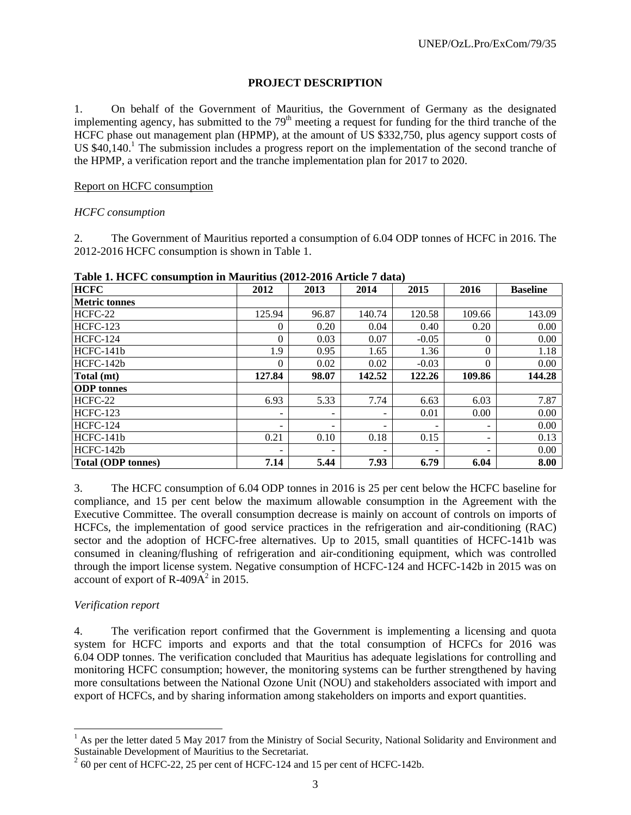## **PROJECT DESCRIPTION**

1. On behalf of the Government of Mauritius, the Government of Germany as the designated implementing agency, has submitted to the  $79<sup>th</sup>$  meeting a request for funding for the third tranche of the HCFC phase out management plan (HPMP), at the amount of US \$332,750, plus agency support costs of US \$40,140.<sup>1</sup> The submission includes a progress report on the implementation of the second tranche of the HPMP, a verification report and the tranche implementation plan for 2017 to 2020.

#### Report on HCFC consumption

#### *HCFC consumption*

2. The Government of Mauritius reported a consumption of 6.04 ODP tonnes of HCFC in 2016. The 2012-2016 HCFC consumption is shown in Table 1.

| <b>HCFC</b>               | 2012     | 2013  | 2014   | 2015    | 2016                     | <b>Baseline</b> |
|---------------------------|----------|-------|--------|---------|--------------------------|-----------------|
| <b>Metric tonnes</b>      |          |       |        |         |                          |                 |
| HCFC-22                   | 125.94   | 96.87 | 140.74 | 120.58  | 109.66                   | 143.09          |
| <b>HCFC-123</b>           | $\Omega$ | 0.20  | 0.04   | 0.40    | 0.20                     | 0.00            |
| <b>HCFC-124</b>           | $\Omega$ | 0.03  | 0.07   | $-0.05$ | $\Omega$                 | 0.00            |
| $HCFC-141b$               | 1.9      | 0.95  | 1.65   | 1.36    | $\theta$                 | 1.18            |
| $HCFC-142b$               | $\Omega$ | 0.02  | 0.02   | $-0.03$ | $\theta$                 | 0.00            |
| Total (mt)                | 127.84   | 98.07 | 142.52 | 122.26  | 109.86                   | 144.28          |
| <b>ODP</b> tonnes         |          |       |        |         |                          |                 |
| HCFC-22                   | 6.93     | 5.33  | 7.74   | 6.63    | 6.03                     | 7.87            |
| <b>HCFC-123</b>           | ۰        | -     |        | 0.01    | 0.00                     | 0.00            |
| <b>HCFC-124</b>           | ۰        | ۰.    |        |         |                          | 0.00            |
| $HCFC-141b$               | 0.21     | 0.10  | 0.18   | 0.15    | $\overline{\phantom{a}}$ | 0.13            |
| HCFC-142b                 |          |       |        |         |                          | 0.00            |
| <b>Total (ODP tonnes)</b> | 7.14     | 5.44  | 7.93   | 6.79    | 6.04                     | 8.00            |

**Table 1. HCFC consumption in Mauritius (2012-2016 Article 7 data)** 

3. The HCFC consumption of 6.04 ODP tonnes in 2016 is 25 per cent below the HCFC baseline for compliance, and 15 per cent below the maximum allowable consumption in the Agreement with the Executive Committee. The overall consumption decrease is mainly on account of controls on imports of HCFCs, the implementation of good service practices in the refrigeration and air-conditioning (RAC) sector and the adoption of HCFC-free alternatives. Up to 2015, small quantities of HCFC-141b was consumed in cleaning/flushing of refrigeration and air-conditioning equipment, which was controlled through the import license system. Negative consumption of HCFC-124 and HCFC-142b in 2015 was on account of export of R-409 $A^2$  in 2015.

## *Verification report*

l

4. The verification report confirmed that the Government is implementing a licensing and quota system for HCFC imports and exports and that the total consumption of HCFCs for 2016 was 6.04 ODP tonnes. The verification concluded that Mauritius has adequate legislations for controlling and monitoring HCFC consumption; however, the monitoring systems can be further strengthened by having more consultations between the National Ozone Unit (NOU) and stakeholders associated with import and export of HCFCs, and by sharing information among stakeholders on imports and export quantities.

<sup>&</sup>lt;sup>1</sup> As per the letter dated 5 May 2017 from the Ministry of Social Security, National Solidarity and Environment and Sustainable Development of Mauritius to the Secretariat.

 $2^{2}$  60 per cent of HCFC-22, 25 per cent of HCFC-124 and 15 per cent of HCFC-142b.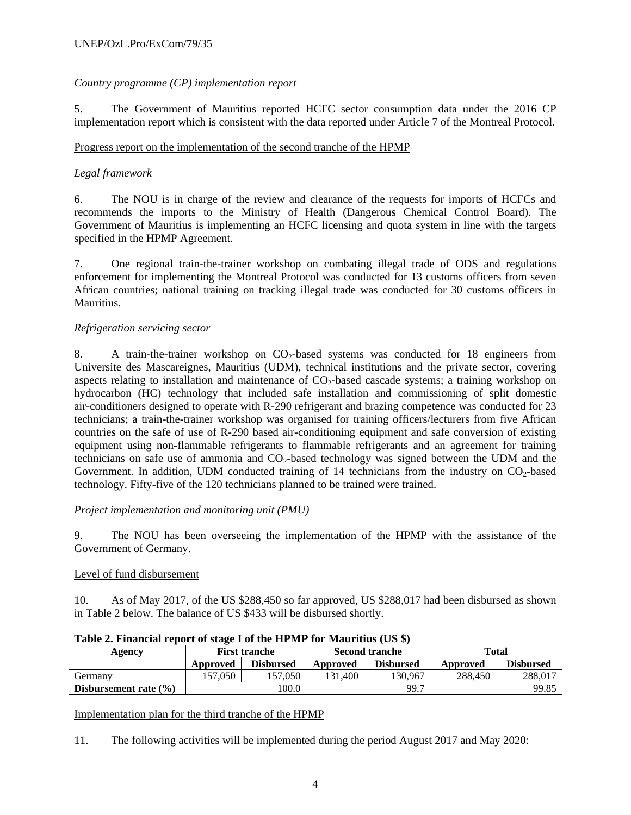## *Country programme (CP) implementation report*

5. The Government of Mauritius reported HCFC sector consumption data under the 2016 CP implementation report which is consistent with the data reported under Article 7 of the Montreal Protocol.

## Progress report on the implementation of the second tranche of the HPMP

## *Legal framework*

6. The NOU is in charge of the review and clearance of the requests for imports of HCFCs and recommends the imports to the Ministry of Health (Dangerous Chemical Control Board). The Government of Mauritius is implementing an HCFC licensing and quota system in line with the targets specified in the HPMP Agreement.

7. One regional train-the-trainer workshop on combating illegal trade of ODS and regulations enforcement for implementing the Montreal Protocol was conducted for 13 customs officers from seven African countries; national training on tracking illegal trade was conducted for 30 customs officers in Mauritius.

## *Refrigeration servicing sector*

8. A train-the-trainer workshop on CO<sub>2</sub>-based systems was conducted for 18 engineers from Universite des Mascareignes, Mauritius (UDM), technical institutions and the private sector, covering aspects relating to installation and maintenance of  $CO<sub>2</sub>$ -based cascade systems; a training workshop on hydrocarbon (HC) technology that included safe installation and commissioning of split domestic air-conditioners designed to operate with R-290 refrigerant and brazing competence was conducted for 23 technicians; a train-the-trainer workshop was organised for training officers/lecturers from five African countries on the safe of use of R-290 based air-conditioning equipment and safe conversion of existing equipment using non-flammable refrigerants to flammable refrigerants and an agreement for training technicians on safe use of ammonia and  $CO<sub>2</sub>$ -based technology was signed between the UDM and the Government. In addition, UDM conducted training of  $14$  technicians from the industry on  $CO<sub>2</sub>$ -based technology. Fifty-five of the 120 technicians planned to be trained were trained.

## *Project implementation and monitoring unit (PMU)*

9. The NOU has been overseeing the implementation of the HPMP with the assistance of the Government of Germany.

## Level of fund disbursement

10. As of May 2017, of the US \$288,450 so far approved, US \$288,017 had been disbursed as shown in Table 2 below. The balance of US \$433 will be disbursed shortly.

| Agency                    |          | <b>First tranche</b> |          | <b>Second tranche</b> | Total    |                  |  |
|---------------------------|----------|----------------------|----------|-----------------------|----------|------------------|--|
|                           | Approved | <b>Disbursed</b>     | Approved | <b>Disbursed</b>      | Approved | <b>Disbursed</b> |  |
| Germanv                   | 157.050  | 157.050              | 131.400  | 130.967               | 288.450  | 288,017          |  |
| Disbursement rate $(\% )$ |          | 100.0                |          | 99.7                  |          | 99.85            |  |

| Table 2. Financial report of stage I of the HPMP for Mauritius (US \$) |  |  |  |  |
|------------------------------------------------------------------------|--|--|--|--|
|------------------------------------------------------------------------|--|--|--|--|

#### Implementation plan for the third tranche of the HPMP

11. The following activities will be implemented during the period August 2017 and May 2020: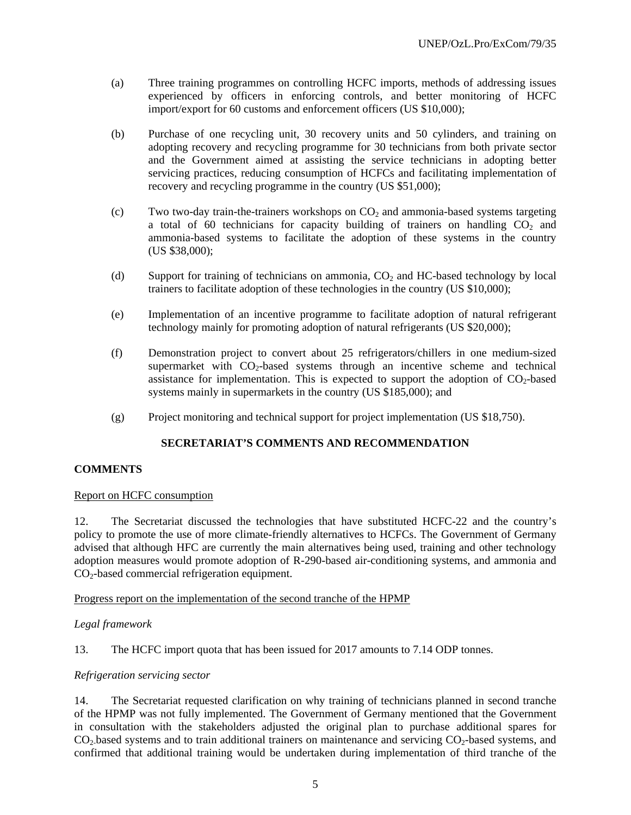- (a) Three training programmes on controlling HCFC imports, methods of addressing issues experienced by officers in enforcing controls, and better monitoring of HCFC import/export for 60 customs and enforcement officers (US \$10,000);
- (b) Purchase of one recycling unit, 30 recovery units and 50 cylinders, and training on adopting recovery and recycling programme for 30 technicians from both private sector and the Government aimed at assisting the service technicians in adopting better servicing practices, reducing consumption of HCFCs and facilitating implementation of recovery and recycling programme in the country (US \$51,000);
- (c) Two two-day train-the-trainers workshops on  $CO<sub>2</sub>$  and ammonia-based systems targeting a total of 60 technicians for capacity building of trainers on handling  $CO<sub>2</sub>$  and ammonia-based systems to facilitate the adoption of these systems in the country (US \$38,000);
- (d) Support for training of technicians on ammonia,  $CO<sub>2</sub>$  and HC-based technology by local trainers to facilitate adoption of these technologies in the country (US \$10,000);
- (e) Implementation of an incentive programme to facilitate adoption of natural refrigerant technology mainly for promoting adoption of natural refrigerants (US \$20,000);
- (f) Demonstration project to convert about 25 refrigerators/chillers in one medium-sized supermarket with  $CO<sub>2</sub>$ -based systems through an incentive scheme and technical assistance for implementation. This is expected to support the adoption of  $CO<sub>2</sub>$ -based systems mainly in supermarkets in the country (US \$185,000); and
- (g) Project monitoring and technical support for project implementation (US \$18,750).

# **SECRETARIAT'S COMMENTS AND RECOMMENDATION**

## **COMMENTS**

## Report on HCFC consumption

12. The Secretariat discussed the technologies that have substituted HCFC-22 and the country's policy to promote the use of more climate-friendly alternatives to HCFCs. The Government of Germany advised that although HFC are currently the main alternatives being used, training and other technology adoption measures would promote adoption of R-290-based air-conditioning systems, and ammonia and CO<sub>2</sub>-based commercial refrigeration equipment.

## Progress report on the implementation of the second tranche of the HPMP

## *Legal framework*

13. The HCFC import quota that has been issued for 2017 amounts to 7.14 ODP tonnes.

#### *Refrigeration servicing sector*

14. The Secretariat requested clarification on why training of technicians planned in second tranche of the HPMP was not fully implemented. The Government of Germany mentioned that the Government in consultation with the stakeholders adjusted the original plan to purchase additional spares for  $CO<sub>2</sub>$  based systems and to train additional trainers on maintenance and servicing  $CO<sub>2</sub>$ -based systems, and confirmed that additional training would be undertaken during implementation of third tranche of the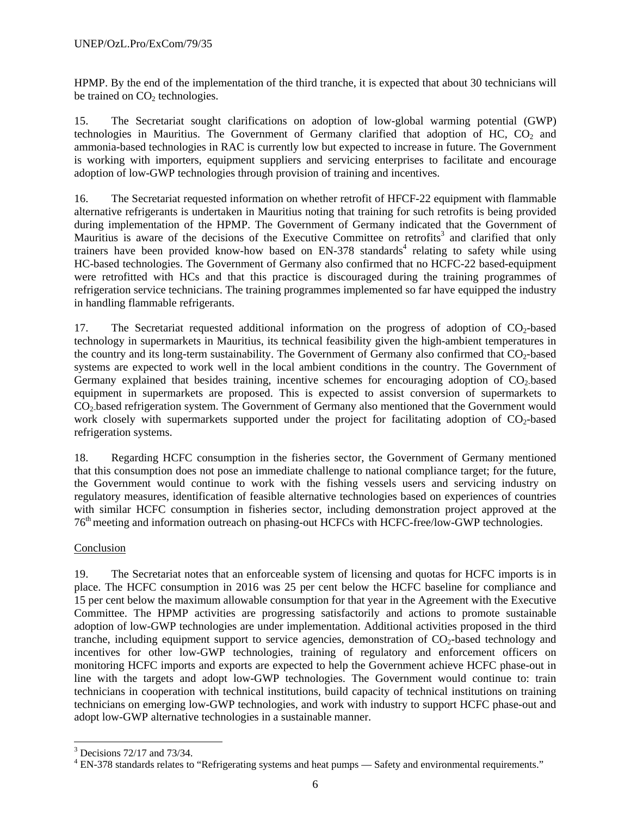HPMP. By the end of the implementation of the third tranche, it is expected that about 30 technicians will be trained on  $CO<sub>2</sub>$  technologies.

15. The Secretariat sought clarifications on adoption of low-global warming potential (GWP) technologies in Mauritius. The Government of Germany clarified that adoption of HC,  $CO<sub>2</sub>$  and ammonia-based technologies in RAC is currently low but expected to increase in future. The Government is working with importers, equipment suppliers and servicing enterprises to facilitate and encourage adoption of low-GWP technologies through provision of training and incentives.

16. The Secretariat requested information on whether retrofit of HFCF-22 equipment with flammable alternative refrigerants is undertaken in Mauritius noting that training for such retrofits is being provided during implementation of the HPMP. The Government of Germany indicated that the Government of Mauritius is aware of the decisions of the Executive Committee on retrofits<sup>3</sup> and clarified that only trainers have been provided know-how based on  $EN-378$  standards<sup>4</sup> relating to safety while using HC-based technologies. The Government of Germany also confirmed that no HCFC-22 based-equipment were retrofitted with HCs and that this practice is discouraged during the training programmes of refrigeration service technicians. The training programmes implemented so far have equipped the industry in handling flammable refrigerants.

17. The Secretariat requested additional information on the progress of adoption of  $CO<sub>2</sub>$ -based technology in supermarkets in Mauritius, its technical feasibility given the high-ambient temperatures in the country and its long-term sustainability. The Government of Germany also confirmed that  $CO<sub>2</sub>$ -based systems are expected to work well in the local ambient conditions in the country. The Government of Germany explained that besides training, incentive schemes for encouraging adoption of  $CO<sub>2</sub>$  based equipment in supermarkets are proposed. This is expected to assist conversion of supermarkets to CO2-based refrigeration system. The Government of Germany also mentioned that the Government would work closely with supermarkets supported under the project for facilitating adoption of  $CO<sub>2</sub>$ -based refrigeration systems.

18. Regarding HCFC consumption in the fisheries sector, the Government of Germany mentioned that this consumption does not pose an immediate challenge to national compliance target; for the future, the Government would continue to work with the fishing vessels users and servicing industry on regulatory measures, identification of feasible alternative technologies based on experiences of countries with similar HCFC consumption in fisheries sector, including demonstration project approved at the 76<sup>th</sup> meeting and information outreach on phasing-out HCFCs with HCFC-free/low-GWP technologies.

## Conclusion

19. The Secretariat notes that an enforceable system of licensing and quotas for HCFC imports is in place. The HCFC consumption in 2016 was 25 per cent below the HCFC baseline for compliance and 15 per cent below the maximum allowable consumption for that year in the Agreement with the Executive Committee. The HPMP activities are progressing satisfactorily and actions to promote sustainable adoption of low-GWP technologies are under implementation. Additional activities proposed in the third tranche, including equipment support to service agencies, demonstration of  $CO<sub>2</sub>$ -based technology and incentives for other low-GWP technologies, training of regulatory and enforcement officers on monitoring HCFC imports and exports are expected to help the Government achieve HCFC phase-out in line with the targets and adopt low-GWP technologies. The Government would continue to: train technicians in cooperation with technical institutions, build capacity of technical institutions on training technicians on emerging low-GWP technologies, and work with industry to support HCFC phase-out and adopt low-GWP alternative technologies in a sustainable manner.

l

<sup>3</sup> Decisions 72/17 and 73/34.

 $4$  EN-378 standards relates to "Refrigerating systems and heat pumps — Safety and environmental requirements."